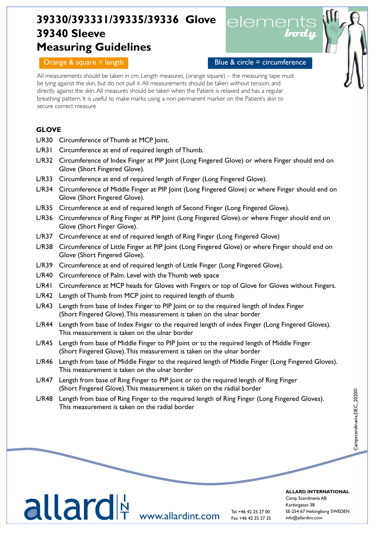# **39330/393331/39335/39336 Glove 39340 Sleeve Measuring Guidelines**



## Orange & square = length  $\blacksquare$  Blue & circle = circumference

All measurements should be taken in cm. Length measures, (orange square) – the measuring tape must be lying against the skin, but do not pull it. All measurements should be taken without tension, and directly against the skin. All measures should be taken when the Patient is relaxed and has a regular breathing pattern. It is useful to make marks using a non-permanent marker on the Patient's skin to secure correct measure

## **GLOVE**

- L/R30 Circumference of Thumb at MCP Joint.
- L/R31 Circumference at end of required length of Thumb.
- L/R32 Circumference of Index Finger at PIP Joint (Long Fingered Glove) or where Finger should end on Glove (Short Fingered Glove).
- L/R33 Circumference at end of required length of Finger (Long Fingered Glove).
- L/R34 Circumference of Middle Finger at PIP Joint (Long Fingered Glove) or where Finger should end on Glove (Short Fingered Glove).
- L/R35 Circumference at end of required length of Second Finger (Long Fingered Glove).
- L/R36 Circumference of Ring Finger at PIP Joint (Long Fingered Glove) or where Finger should end on Glove (Short Finger Glove).
- L/R37 Circumference at end of required length of Ring Finger (Long Fingered Glove)
- L/R38 Circumference of Little Finger at PIP Joint (Long Fingered Glove) or where Finger should end on Glove (Short Fingered Glove).
- L/R39 Circumference at end of required length of Little Finger (Long Fingered Glove).
- L/R40 Circumference of Palm. Level with the Thumb web space

Tel

- L/R41 Circumference at MCP heads for Gloves with Fingers or top of Glove for Gloves without Fingers.
- L/R42 Length of Thumb from MCP joint to required length of thumb
- L/R43 Length from base of Index Finger to PIP Joint or to the required length of Index Finger (Short Fingered Glove). This measurement is taken on the ulnar border
- L/R44 Length from base of Index Finger to the required length of index Finger (Long Fingered Gloves). This measurement is taken on the ulnar border
- L/R45 Length from base of Middle Finger to PIP Joint or to the required length of Middle Finger (Short Fingered Glove). This measurement is taken on the ulnar border
- L/R46 Length from base of Middle Finger to the required length of Middle Finger (Long Fingered Gloves). This measurement is taken on the ulnar border
- L/R47 Length from base of Ring Finger to PIP Joint or to the required length of Ring Finger (Short Fingered Glove). This measurement is taken on the radial border
- L/R48 Length from base of Ring Finger to the required length of Ring Finger (Long Fingered Gloves). This measurement is taken on the radial border

#### **ALLARD INTERNATIONAL ALLARD INTERNATIONAL**

 $\alpha$ inp scandinavia  $\lambda$ D  $\kappa$ arbingatan 38  $\kappa$ info@cample.info@cample.info@camp.org info@camp.org info@camp.org info@camp.org info@camp.org info@camp.no Camp Scandinavia AB Camp Scandinavia ABKarbingatan 38 Karbingatan 38 SE-254 67 Helsingborg SWEDEN SE-254 67 Helsingborg SWEDEN info@allardint.com info@allardint.com

LLCI UIT www.allardint.com

Tel +46 42 25 27 00 Tel +46 42 25 27 00 Fax +46 42 25 27 25 Fax +46 42 25 27 25